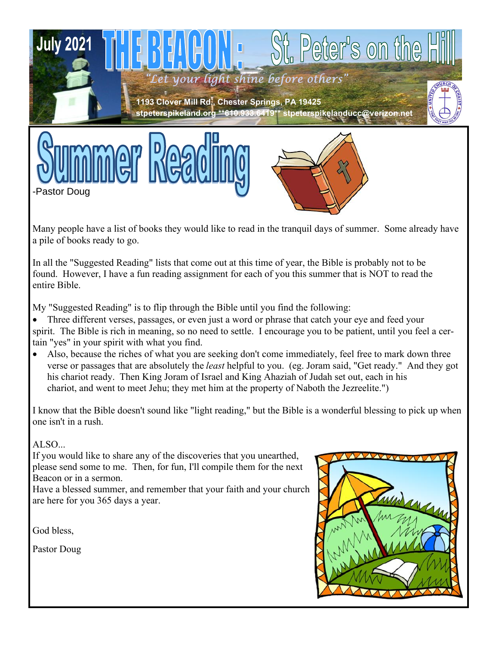





Many people have a list of books they would like to read in the tranquil days of summer. Some already have a pile of books ready to go.

In all the "Suggested Reading" lists that come out at this time of year, the Bible is probably not to be found. However, I have a fun reading assignment for each of you this summer that is NOT to read the entire Bible.

My "Suggested Reading" is to flip through the Bible until you find the following:

Three different verses, passages, or even just a word or phrase that catch your eye and feed your spirit. The Bible is rich in meaning, so no need to settle. I encourage you to be patient, until you feel a certain "yes" in your spirit with what you find.

• Also, because the riches of what you are seeking don't come immediately, feel free to mark down three verse or passages that are absolutely the *least* helpful to you. (eg. Joram said, "Get ready." And they got his chariot ready. Then King Joram of Israel and King Ahaziah of Judah set out, each in his chariot, and went to meet Jehu; they met him at the property of Naboth the Jezreelite.")

I know that the Bible doesn't sound like "light reading," but the Bible is a wonderful blessing to pick up when one isn't in a rush.

### ALSO...

If you would like to share any of the discoveries that you unearthed, please send some to me. Then, for fun, I'll compile them for the next Beacon or in a sermon.

Have a blessed summer, and remember that your faith and your church are here for you 365 days a year.

God bless,

Pastor Doug

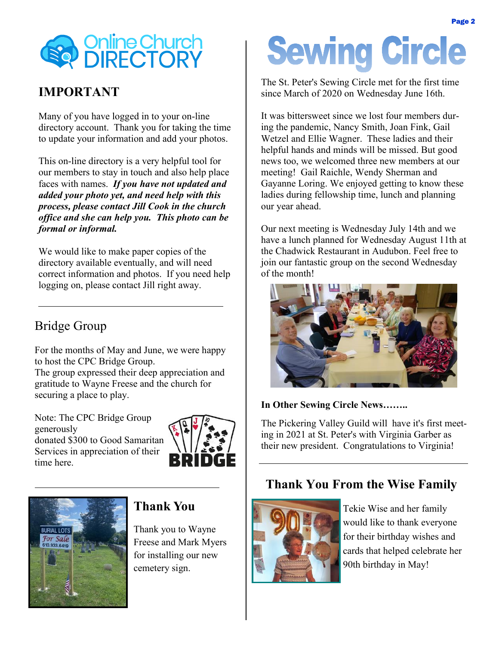

## **IMPORTANT**

Many of you have logged in to your on-line directory account. Thank you for taking the time to update your information and add your photos.

This on-line directory is a very helpful tool for our members to stay in touch and also help place faces with names. *If you have not updated and added your photo yet, and need help with this process, please contact Jill Cook in the church office and she can help you. This photo can be formal or informal.*

We would like to make paper copies of the directory available eventually, and will need correct information and photos. If you need help logging on, please contact Jill right away.

# Bridge Group

For the months of May and June, we were happy to host the CPC Bridge Group.

The group expressed their deep appreciation and gratitude to Wayne Freese and the church for securing a place to play.

Note: The CPC Bridge Group generously donated \$300 to Good Samaritan Services in appreciation of their time here.





## **Thank You**

Thank you to Wayne Freese and Mark Myers for installing our new cemetery sign.

# **Sewing Circle**

The St. Peter's Sewing Circle met for the first time since March of 2020 on Wednesday June 16th.

It was bittersweet since we lost four members during the pandemic, Nancy Smith, Joan Fink, Gail Wetzel and Ellie Wagner. These ladies and their helpful hands and minds will be missed. But good news too, we welcomed three new members at our meeting! Gail Raichle, Wendy Sherman and Gayanne Loring. We enjoyed getting to know these ladies during fellowship time, lunch and planning our year ahead.

Our next meeting is Wednesday July 14th and we have a lunch planned for Wednesday August 11th at the Chadwick Restaurant in Audubon. Feel free to join our fantastic group on the second Wednesday of the month!



#### **In Other Sewing Circle News……..**

The Pickering Valley Guild will have it's first meeting in 2021 at St. Peter's with Virginia Garber as their new president. Congratulations to Virginia!

## **Thank You From the Wise Family**



Tekie Wise and her family would like to thank everyone for their birthday wishes and cards that helped celebrate her 90th birthday in May!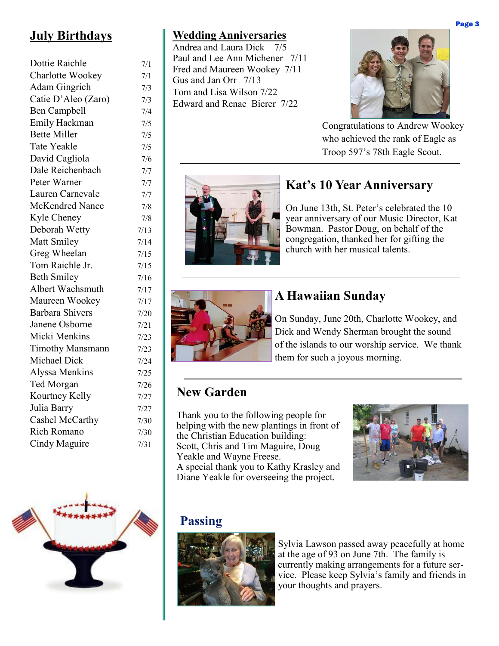# **July Birthdays**

| Dottie Raichle          | 7/1  |
|-------------------------|------|
| Charlotte Wookey        | 7/1  |
| Adam Gingrich           | 7/3  |
| Catie D'Aleo (Zaro)     | 7/3  |
| <b>Ben Campbell</b>     | 7/4  |
| Emily Hackman           | 7/5  |
| <b>Bette Miller</b>     | 7/5  |
| <b>Tate Yeakle</b>      | 7/5  |
| David Cagliola          | 7/6  |
| Dale Reichenbach        | 7/7  |
| Peter Warner            | 7/7  |
| Lauren Carnevale        | 7/7  |
| <b>McKendred Nance</b>  | 7/8  |
| Kyle Cheney             | 7/8  |
| Deborah Wetty           | 7/13 |
| Matt Smiley             | 7/14 |
| Greg Wheelan            | 7/15 |
| Tom Raichle Jr.         | 7/15 |
| <b>Beth Smiley</b>      | 7/16 |
| Albert Wachsmuth        | 7/17 |
| Maureen Wookey          | 7/17 |
| <b>Barbara Shivers</b>  | 7/20 |
| Janene Osborne          | 7/21 |
| Micki Menkins           | 7/23 |
| <b>Timothy Mansmann</b> | 7/23 |
| Michael Dick            | 7/24 |
| Alyssa Menkins          | 7/25 |
| Ted Morgan              | 7/26 |
| Kourtney Kelly          | 7/27 |
| Julia Barry             | 7/27 |
| Cashel McCarthy         | 7/30 |
| Rich Romano             | 7/30 |
| Cindy Maguire           | 7/31 |
|                         |      |



## **Wedding Anniversaries**

Andrea and Laura Dick 7/5 Paul and Lee Ann Michener 7/11 Fred and Maureen Wookey 7/11 Gus and Jan Orr 7/13 Tom and Lisa Wilson 7/22 Edward and Renae Bierer 7/22



Congratulations to Andrew Wookey who achieved the rank of Eagle as Troop 597's 78th Eagle Scout.



# **Kat's 10 Year Anniversary**

On June 13th, St. Peter's celebrated the 10 year anniversary of our Music Director, Kat Bowman. Pastor Doug, on behalf of the congregation, thanked her for gifting the church with her musical talents.



# **A Hawaiian Sunday**

On Sunday, June 20th, Charlotte Wookey, and Dick and Wendy Sherman brought the sound of the islands to our worship service. We thank them for such a joyous morning.

# **New Garden**

Thank you to the following people for helping with the new plantings in front of the Christian Education building: Scott, Chris and Tim Maguire, Doug Yeakle and Wayne Freese. A special thank you to Kathy Krasley and Diane Yeakle for overseeing the project.



## **Passing**



Sylvia Lawson passed away peacefully at home at the age of 93 on June 7th. The family is currently making arrangements for a future service. Please keep Sylvia's family and friends in your thoughts and prayers.